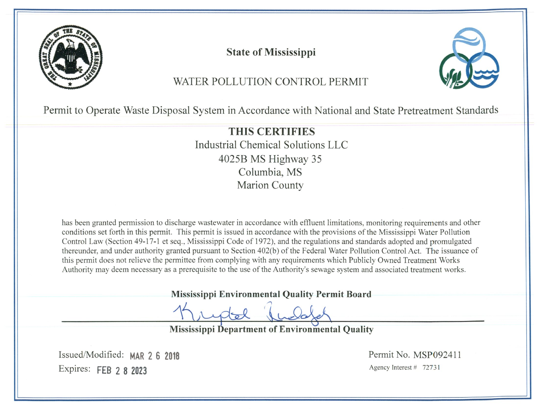

**State of Mississippi** 



# WATER POLLUTION CONTROL PERMIT

Permit to Operate Waste Disposal System in Accordance with National and State Pretreatment Standards

THIS CERTIFIES Industrial Chemical Solutions LLC 4025B MS Highway 35 Columbia, MS **Marion County** 

has been granted permission to discharge wastewater in accordance with effluent limitations, monitoring requirements and other conditions set forth in this permit. This permit is issued in accordance with the provisions of the Mississippi Water Pollution Control Law (Section 49-17-1 et seg., Mississippi Code of 1972), and the regulations and standards adopted and promulgated thereunder, and under authority granted pursuant to Section 402(b) of the Federal Water Pollution Control Act. The issuance of this permit does not relieve the permittee from complying with any requirements which Publicly Owned Treatment Works Authority may deem necessary as a prerequisite to the use of the Authority's sewage system and associated treatment works.

Mississippi Environmental Quality Permit Board

**Mississippi Department of Environmental Quality** 

Issued/Modified: MAR 2 6 2018 Expires: FEB 2 8 2023

Permit No. MSP092411 Agency Interest # 72731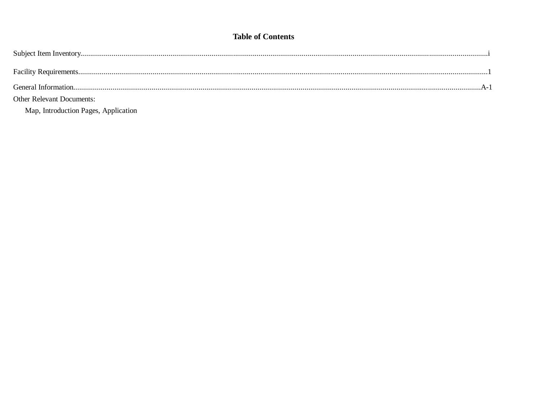# **Table of Contents**

| <b>Other Relevant Documents:</b>     |  |
|--------------------------------------|--|
| Map, Introduction Pages, Application |  |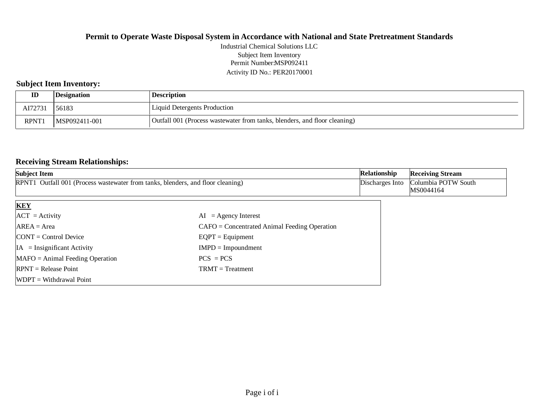Permit Number:MSP092411 Activity ID No.: PER20170001 Industrial Chemical Solutions LLC Subject Item Inventory

# **Subject Item Inventory:**

| ID          | <i><b>Designation</b></i> | <b>Description</b>                                                        |
|-------------|---------------------------|---------------------------------------------------------------------------|
| AI72731     | 56183                     | Liquid Detergents Production                                              |
| <b>RPNT</b> | MSP092411-001             | Outfall 001 (Process wastewater from tanks, blenders, and floor cleaning) |

#### **Receiving Stream Relationships:**

| <b>Subject Item</b>                                                              |                                                | Relationship    | <b>Receiving Stream</b> |
|----------------------------------------------------------------------------------|------------------------------------------------|-----------------|-------------------------|
| RPNT1 Outfall 001 (Process was tewater from tanks, blenders, and floor cleaning) |                                                | Discharges Into | Columbia POTW South     |
|                                                                                  |                                                |                 | MS0044164               |
| <b>KEY</b>                                                                       |                                                |                 |                         |
| $ ACT = Activity$                                                                | $=$ Agency Interest<br>AI                      |                 |                         |
| $AREA = Area$                                                                    | $CAFO =$ Concentrated Animal Feeding Operation |                 |                         |
| $\text{CONT} = \text{Control Device}$                                            | $EQPT = Equipment$                             |                 |                         |
| $IA = Insignificant Activity$                                                    | $IMPD = Impoundment$                           |                 |                         |
| $MAFO = Animal Feeding Operation$                                                | $PCS = PCs$                                    |                 |                         |
| $RPNT = Release Point$                                                           | $TRMT = Treatment$                             |                 |                         |
| $WDPT = Without$ = Withdrawal Point                                              |                                                |                 |                         |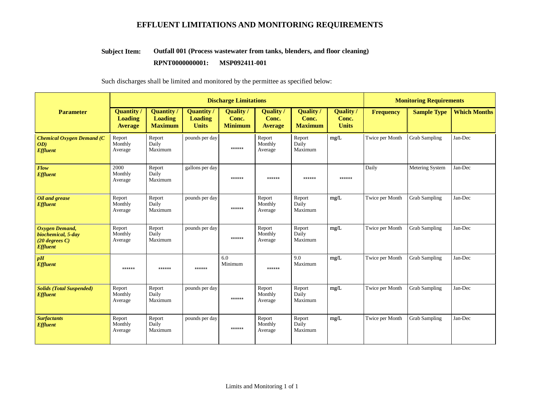# **EFFLUENT LIMITATIONS AND MONITORING REQUIREMENTS**

#### **Outfall 001 (Process wastewater from tanks, blenders, and floor cleaning) Subject Item:**

#### **RPNT0000000001: MSP092411-001**

Such discharges shall be limited and monitored by the permittee as specified below:

|                                                                                    | <b>Discharge Limitations</b>                          |                                                       |                                                     |                                             |                                     |                                             | <b>Monitoring Requirements</b>            |                  |                      |                     |
|------------------------------------------------------------------------------------|-------------------------------------------------------|-------------------------------------------------------|-----------------------------------------------------|---------------------------------------------|-------------------------------------|---------------------------------------------|-------------------------------------------|------------------|----------------------|---------------------|
| <b>Parameter</b>                                                                   | <b>Quantity</b> /<br><b>Loading</b><br><b>Average</b> | <b>Quantity</b> /<br><b>Loading</b><br><b>Maximum</b> | <b>Quantity</b> /<br><b>Loading</b><br><b>Units</b> | <b>Quality</b> /<br>Conc.<br><b>Minimum</b> | Quality/<br>Conc.<br><b>Average</b> | <b>Quality</b> /<br>Conc.<br><b>Maximum</b> | <b>Quality</b> /<br>Conc.<br><b>Units</b> | <b>Frequency</b> | <b>Sample Type</b>   | <b>Which Months</b> |
| <b>Chemical Oxygen Demand (C</b><br>OD)<br><b>Effluent</b>                         | Report<br>Monthly<br>Average                          | Report<br>Daily<br>Maximum                            | pounds per day                                      | ******                                      | Report<br>Monthly<br>Average        | Report<br>Daily<br>Maximum                  | mg/L                                      | Twice per Month  | <b>Grab Sampling</b> | Jan-Dec             |
| Flow<br><b>Effluent</b>                                                            | 2000<br>Monthly<br>Average                            | Report<br>Daily<br>Maximum                            | gallons per day                                     | ******                                      | ******                              | ******                                      | $******$                                  | Daily            | Metering System      | Jan-Dec             |
| Oil and grease<br><b>Effluent</b>                                                  | Report<br>Monthly<br>Average                          | Report<br>Daily<br>Maximum                            | pounds per day                                      | ******                                      | Report<br>Monthly<br>Average        | Report<br>Daily<br>Maximum                  | mg/L                                      | Twice per Month  | <b>Grab Sampling</b> | Jan-Dec             |
| <b>Oxygen Demand,</b><br>biochemical, 5-day<br>$(20$ degrees C)<br><b>Effluent</b> | Report<br>Monthly<br>Average                          | Report<br>Daily<br>Maximum                            | pounds per day                                      | ******                                      | Report<br>Monthly<br>Average        | Report<br>Daily<br>Maximum                  | mg/L                                      | Twice per Month  | <b>Grab Sampling</b> | Jan-Dec             |
| pH<br><b>Effluent</b>                                                              | ******                                                | ******                                                | ******                                              | 6.0<br>Minimum                              | ******                              | 9.0<br>Maximum                              | mg/L                                      | Twice per Month  | <b>Grab Sampling</b> | Jan-Dec             |
| <b>Solids (Total Suspended)</b><br><b>Effluent</b>                                 | Report<br>Monthly<br>Average                          | Report<br>Daily<br>Maximum                            | pounds per day                                      | ******                                      | Report<br>Monthly<br>Average        | Report<br>Daily<br>Maximum                  | mg/L                                      | Twice per Month  | <b>Grab Sampling</b> | Jan-Dec             |
| <b>Surfactants</b><br><b>Effluent</b>                                              | Report<br>Monthly<br>Average                          | Report<br>Daily<br>Maximum                            | pounds per day                                      | $******$                                    | Report<br>Monthly<br>Average        | ${\sf Report}$<br>Daily<br>Maximum          | mg/L                                      | Twice per Month  | <b>Grab Sampling</b> | Jan-Dec             |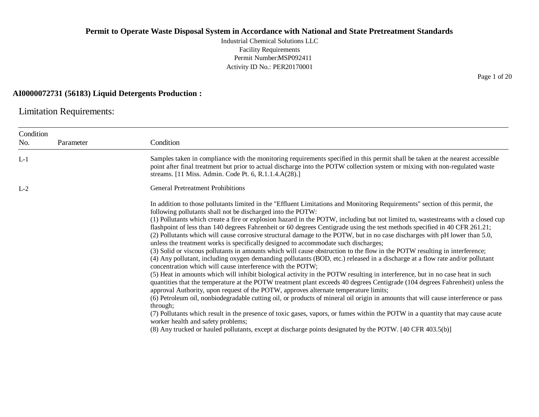Industrial Chemical Solutions LLC Facility Requirements Permit Number:MSP092411 Activity ID No.: PER20170001

#### **AI0000072731 (56183) Liquid Detergents Production :**

Limitation Requirements:

| Condition | Parameter | Condition                                                                                                                                                                                                                                                                                                                                                                                                                                                                                                                                                                                                                                                                                                                                                                                                                                                                                                                                                                                                                                                                                                                                                                                                                                                                                                                                                                                                                                                                                                                                                                                                                                                                                                                                                                                                          |
|-----------|-----------|--------------------------------------------------------------------------------------------------------------------------------------------------------------------------------------------------------------------------------------------------------------------------------------------------------------------------------------------------------------------------------------------------------------------------------------------------------------------------------------------------------------------------------------------------------------------------------------------------------------------------------------------------------------------------------------------------------------------------------------------------------------------------------------------------------------------------------------------------------------------------------------------------------------------------------------------------------------------------------------------------------------------------------------------------------------------------------------------------------------------------------------------------------------------------------------------------------------------------------------------------------------------------------------------------------------------------------------------------------------------------------------------------------------------------------------------------------------------------------------------------------------------------------------------------------------------------------------------------------------------------------------------------------------------------------------------------------------------------------------------------------------------------------------------------------------------|
| No.       |           |                                                                                                                                                                                                                                                                                                                                                                                                                                                                                                                                                                                                                                                                                                                                                                                                                                                                                                                                                                                                                                                                                                                                                                                                                                                                                                                                                                                                                                                                                                                                                                                                                                                                                                                                                                                                                    |
| $L-1$     |           | Samples taken in compliance with the monitoring requirements specified in this permit shall be taken at the nearest accessible<br>point after final treatment but prior to actual discharge into the POTW collection system or mixing with non-regulated waste<br>streams. [11 Miss. Admin. Code Pt. 6, R.1.1.4.A(28).]                                                                                                                                                                                                                                                                                                                                                                                                                                                                                                                                                                                                                                                                                                                                                                                                                                                                                                                                                                                                                                                                                                                                                                                                                                                                                                                                                                                                                                                                                            |
| $L-2$     |           | <b>General Pretreatment Prohibitions</b>                                                                                                                                                                                                                                                                                                                                                                                                                                                                                                                                                                                                                                                                                                                                                                                                                                                                                                                                                                                                                                                                                                                                                                                                                                                                                                                                                                                                                                                                                                                                                                                                                                                                                                                                                                           |
|           |           | In addition to those pollutants limited in the "Effluent Limitations and Monitoring Requirements" section of this permit, the<br>following pollutants shall not be discharged into the POTW:<br>(1) Pollutants which create a fire or explosion hazard in the POTW, including but not limited to, wastestreams with a closed cup<br>flashpoint of less than 140 degrees Fahrenheit or 60 degrees Centigrade using the test methods specified in 40 CFR 261.21;<br>(2) Pollutants which will cause corrosive structural damage to the POTW, but in no case discharges with pH lower than 5.0,<br>unless the treatment works is specifically designed to accommodate such discharges;<br>(3) Solid or viscous pollutants in amounts which will cause obstruction to the flow in the POTW resulting in interference;<br>(4) Any pollutant, including oxygen demanding pollutants (BOD, etc.) released in a discharge at a flow rate and/or pollutant<br>concentration which will cause interference with the POTW;<br>(5) Heat in amounts which will inhibit biological activity in the POTW resulting in interference, but in no case heat in such<br>quantities that the temperature at the POTW treatment plant exceeds 40 degrees Centigrade (104 degrees Fahrenheit) unless the<br>approval Authority, upon request of the POTW, approves alternate temperature limits;<br>(6) Petroleum oil, nonbiodegradable cutting oil, or products of mineral oil origin in amounts that will cause interference or pass<br>through;<br>(7) Pollutants which result in the presence of toxic gases, vapors, or fumes within the POTW in a quantity that may cause acute<br>worker health and safety problems;<br>(8) Any trucked or hauled pollutants, except at discharge points designated by the POTW. [40 CFR 403.5(b)] |

Page 1 of 20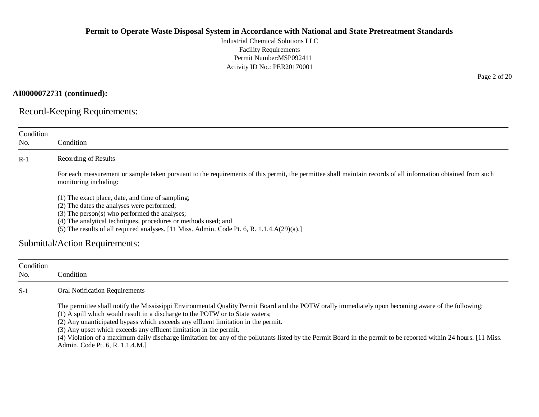Industrial Chemical Solutions LLC Facility Requirements Permit Number:MSP092411 Activity ID No.: PER20170001

**AI0000072731 (continued):**

Record-Keeping Requirements:

| Condition        |                                                                                                                                                                                                                                                                                                                                                                                                                                                                                                                                                                                                          |
|------------------|----------------------------------------------------------------------------------------------------------------------------------------------------------------------------------------------------------------------------------------------------------------------------------------------------------------------------------------------------------------------------------------------------------------------------------------------------------------------------------------------------------------------------------------------------------------------------------------------------------|
| No.              | Condition                                                                                                                                                                                                                                                                                                                                                                                                                                                                                                                                                                                                |
| $R-1$            | Recording of Results                                                                                                                                                                                                                                                                                                                                                                                                                                                                                                                                                                                     |
|                  | For each measurement or sample taken pursuant to the requirements of this permit, the permittee shall maintain records of all information obtained from such<br>monitoring including:                                                                                                                                                                                                                                                                                                                                                                                                                    |
|                  | (1) The exact place, date, and time of sampling;<br>(2) The dates the analyses were performed;<br>(3) The person(s) who performed the analyses;<br>(4) The analytical techniques, procedures or methods used; and<br>(5) The results of all required analyses. [11 Miss. Admin. Code Pt. 6, R. 1.1.4.A(29)(a).]                                                                                                                                                                                                                                                                                          |
|                  | <b>Submittal/Action Requirements:</b>                                                                                                                                                                                                                                                                                                                                                                                                                                                                                                                                                                    |
| Condition<br>No. | Condition                                                                                                                                                                                                                                                                                                                                                                                                                                                                                                                                                                                                |
| $S-1$            | <b>Oral Notification Requirements</b>                                                                                                                                                                                                                                                                                                                                                                                                                                                                                                                                                                    |
|                  | The permittee shall notify the Mississippi Environmental Quality Permit Board and the POTW orally immediately upon becoming aware of the following:<br>(1) A spill which would result in a discharge to the POTW or to State waters;<br>(2) Any unanticipated bypass which exceeds any effluent limitation in the permit.<br>(3) Any upset which exceeds any effluent limitation in the permit.<br>(4) Violation of a maximum daily discharge limitation for any of the pollutants listed by the Permit Board in the permit to be reported within 24 hours. [11 Miss.<br>Admin. Code Pt. 6, R. 1.1.4.M.] |

Page 2 of 20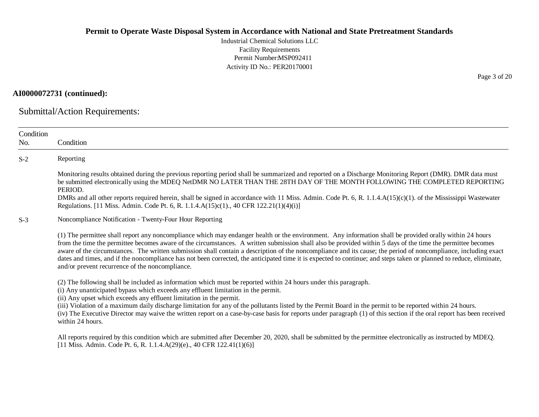Industrial Chemical Solutions LLC Facility Requirements Permit Number:MSP092411 Activity ID No.: PER20170001

**AI0000072731 (continued):**

Submittal/Action Requirements:

| Condition<br>No. | Condition                                                                                                                                                                                                                                                                                                                                                                                                                                                                                                                                                                                                                                                                                                           |
|------------------|---------------------------------------------------------------------------------------------------------------------------------------------------------------------------------------------------------------------------------------------------------------------------------------------------------------------------------------------------------------------------------------------------------------------------------------------------------------------------------------------------------------------------------------------------------------------------------------------------------------------------------------------------------------------------------------------------------------------|
| $S-2$            | Reporting                                                                                                                                                                                                                                                                                                                                                                                                                                                                                                                                                                                                                                                                                                           |
|                  | Monitoring results obtained during the previous reporting period shall be summarized and reported on a Discharge Monitoring Report (DMR). DMR data must<br>be submitted electronically using the MDEQ NetDMR NO LATER THAN THE 28TH DAY OF THE MONTH FOLLOWING THE COMPLETED REPORTING<br>PERIOD.                                                                                                                                                                                                                                                                                                                                                                                                                   |
|                  | DMRs and all other reports required herein, shall be signed in accordance with 11 Miss. Admin. Code Pt. 6, R. 1.1.4.A(15)(c)(1). of the Mississippi Wastewater<br>Regulations. [11 Miss. Admin. Code Pt. 6, R. 1.1.4.A(15)c(1)., 40 CFR 122.21(1)(4)(i)]                                                                                                                                                                                                                                                                                                                                                                                                                                                            |
| $S-3$            | Noncompliance Notification - Twenty-Four Hour Reporting                                                                                                                                                                                                                                                                                                                                                                                                                                                                                                                                                                                                                                                             |
|                  | (1) The permittee shall report any noncompliance which may endanger health or the environment. Any information shall be provided orally within 24 hours<br>from the time the permittee becomes aware of the circumstances. A written submission shall also be provided within 5 days of the time the permittee becomes<br>aware of the circumstances. The written submission shall contain a description of the noncompliance and its cause; the period of noncompliance, including exact<br>dates and times, and if the noncompliance has not been corrected, the anticipated time it is expected to continue; and steps taken or planned to reduce, eliminate,<br>and/or prevent recurrence of the noncompliance. |
|                  | (2) The following shall be included as information which must be reported within 24 hours under this paragraph.<br>(i) Any unanticipated bypass which exceeds any effluent limitation in the permit.<br>(ii) Any upset which exceeds any effluent limitation in the permit.<br>(iii) Violation of a maximum daily discharge limitation for any of the pollutants listed by the Permit Board in the permit to be reported within 24 hours.                                                                                                                                                                                                                                                                           |
|                  | (iv) The Executive Director may waive the written report on a case-by-case basis for reports under paragraph (1) of this section if the oral report has been received<br>within 24 hours.                                                                                                                                                                                                                                                                                                                                                                                                                                                                                                                           |
|                  | All reports required by this condition which are submitted after December 20, 2020, shall be submitted by the permittee electronically as instructed by MDEQ.<br>[11 Miss. Admin. Code Pt. 6, R. 1.1.4.A(29)(e)., 40 CFR 122.41(1)(6)]                                                                                                                                                                                                                                                                                                                                                                                                                                                                              |

Page 3 of 20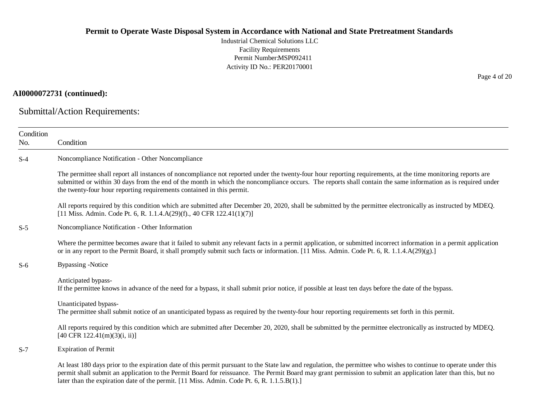Industrial Chemical Solutions LLC Facility Requirements Permit Number:MSP092411 Activity ID No.: PER20170001

# **AI0000072731 (continued):**

Submittal/Action Requirements:

| Condition<br>No. | Condition                                                                                                                                                                                                                                                                                                                                                                                                                         |
|------------------|-----------------------------------------------------------------------------------------------------------------------------------------------------------------------------------------------------------------------------------------------------------------------------------------------------------------------------------------------------------------------------------------------------------------------------------|
| $S-4$            | Noncompliance Notification - Other Noncompliance                                                                                                                                                                                                                                                                                                                                                                                  |
|                  | The permittee shall report all instances of noncompliance not reported under the twenty-four hour reporting requirements, at the time monitoring reports are<br>submitted or within 30 days from the end of the month in which the noncompliance occurs. The reports shall contain the same information as is required under<br>the twenty-four hour reporting requirements contained in this permit.                             |
|                  | All reports required by this condition which are submitted after December 20, 2020, shall be submitted by the permittee electronically as instructed by MDEQ.<br>[11 Miss. Admin. Code Pt. 6, R. 1.1.4.A(29)(f)., 40 CFR 122.41(1)(7)]                                                                                                                                                                                            |
| $S-5$            | Noncompliance Notification - Other Information                                                                                                                                                                                                                                                                                                                                                                                    |
|                  | Where the permittee becomes aware that it failed to submit any relevant facts in a permit application, or submitted incorrect information in a permit application<br>or in any report to the Permit Board, it shall promptly submit such facts or information. [11 Miss. Admin. Code Pt. 6, R. 1.1.4.A(29)(g).]                                                                                                                   |
| $S-6$            | <b>Bypassing -Notice</b>                                                                                                                                                                                                                                                                                                                                                                                                          |
|                  | Anticipated bypass-<br>If the permittee knows in advance of the need for a bypass, it shall submit prior notice, if possible at least ten days before the date of the bypass.                                                                                                                                                                                                                                                     |
|                  | Unanticipated bypass-<br>The permittee shall submit notice of an unanticipated bypass as required by the twenty-four hour reporting requirements set forth in this permit.                                                                                                                                                                                                                                                        |
|                  | All reports required by this condition which are submitted after December 20, 2020, shall be submitted by the permittee electronically as instructed by MDEQ.<br>$[40 \text{ CFR } 122.41 \text{ (m)}(3) \text{ (i, ii)}]$                                                                                                                                                                                                        |
| $S-7$            | <b>Expiration of Permit</b>                                                                                                                                                                                                                                                                                                                                                                                                       |
|                  | At least 180 days prior to the expiration date of this permit pursuant to the State law and regulation, the permittee who wishes to continue to operate under this<br>permit shall submit an application to the Permit Board for reissuance. The Permit Board may grant permission to submit an application later than this, but no<br>later than the expiration date of the permit. [11 Miss. Admin. Code Pt. 6, R. 1.1.5.B(1).] |

Page 4 of 20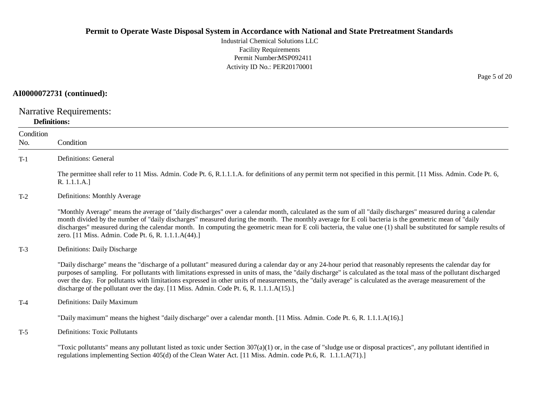Industrial Chemical Solutions LLC Facility Requirements Permit Number:MSP092411 Activity ID No.: PER20170001

#### **AI0000072731 (continued):**

Narrative Requirements:

#### **Definitions:**

| Condition<br>No. | Condition                                                                                                                                                                                                                                                                                                                                                                                                                                                                                                                                                                                         |
|------------------|---------------------------------------------------------------------------------------------------------------------------------------------------------------------------------------------------------------------------------------------------------------------------------------------------------------------------------------------------------------------------------------------------------------------------------------------------------------------------------------------------------------------------------------------------------------------------------------------------|
| $T-1$            | Definitions: General                                                                                                                                                                                                                                                                                                                                                                                                                                                                                                                                                                              |
|                  | The permittee shall refer to 11 Miss. Admin. Code Pt. 6, R.1.1.1.A. for definitions of any permit term not specified in this permit. [11 Miss. Admin. Code Pt. 6,<br>R. 1.1.1.A.]                                                                                                                                                                                                                                                                                                                                                                                                                 |
| $T-2$            | Definitions: Monthly Average                                                                                                                                                                                                                                                                                                                                                                                                                                                                                                                                                                      |
|                  | "Monthly Average" means the average of "daily discharges" over a calendar month, calculated as the sum of all "daily discharges" measured during a calendar<br>month divided by the number of "daily discharges" measured during the month. The monthly average for E coli bacteria is the geometric mean of "daily<br>discharges" measured during the calendar month. In computing the geometric mean for E coli bacteria, the value one (1) shall be substituted for sample results of<br>zero. [11 Miss. Admin. Code Pt. 6, R. 1.1.1.A(44).]                                                   |
| $T-3$            | Definitions: Daily Discharge                                                                                                                                                                                                                                                                                                                                                                                                                                                                                                                                                                      |
|                  | "Daily discharge" means the "discharge of a pollutant" measured during a calendar day or any 24-hour period that reasonably represents the calendar day for<br>purposes of sampling. For pollutants with limitations expressed in units of mass, the "daily discharge" is calculated as the total mass of the pollutant discharged<br>over the day. For pollutants with limitations expressed in other units of measurements, the "daily average" is calculated as the average measurement of the<br>discharge of the pollutant over the day. $[11$ Miss. Admin. Code Pt. 6, R. 1.1.1.A $(15)$ .] |
| $T-4$            | Definitions: Daily Maximum                                                                                                                                                                                                                                                                                                                                                                                                                                                                                                                                                                        |
|                  | "Daily maximum" means the highest "daily discharge" over a calendar month. [11 Miss. Admin. Code Pt. 6, R. 1.1.1.A(16).]                                                                                                                                                                                                                                                                                                                                                                                                                                                                          |
| $T-5$            | <b>Definitions: Toxic Pollutants</b>                                                                                                                                                                                                                                                                                                                                                                                                                                                                                                                                                              |
|                  | "Toxic pollutants" means any pollutant listed as toxic under Section $307(a)(1)$ or, in the case of "sludge use or disposal practices", any pollutant identified in<br>regulations implementing Section 405(d) of the Clean Water Act. [11 Miss. Admin. code Pt.6, R. 1.1.1.A(71).]                                                                                                                                                                                                                                                                                                               |

Page 5 of 20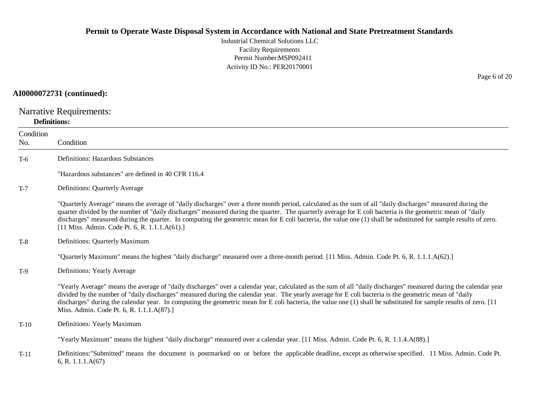Industrial Chemical Solutions LLC Facility Requirements Permit Number:MSP092411 Activity ID No.: PER20170001

# **AI0000072731 (continued):**

Narrative Requirements:

#### **Definitions:**

| Condition<br>No. | Condition                                                                                                                                                                                                                                                                                                                                                                                                                                                                                                                                     |
|------------------|-----------------------------------------------------------------------------------------------------------------------------------------------------------------------------------------------------------------------------------------------------------------------------------------------------------------------------------------------------------------------------------------------------------------------------------------------------------------------------------------------------------------------------------------------|
| $T-6$            | <b>Definitions: Hazardous Substances</b>                                                                                                                                                                                                                                                                                                                                                                                                                                                                                                      |
|                  | "Hazardous substances" are defined in 40 CFR 116.4                                                                                                                                                                                                                                                                                                                                                                                                                                                                                            |
| $T-7$            | Definitions: Quarterly Average                                                                                                                                                                                                                                                                                                                                                                                                                                                                                                                |
|                  | "Quarterly Average" means the average of "daily discharges" over a three month period, calculated as the sum of all "daily discharges" measured during the<br>quarter divided by the number of "daily discharges" measured during the quarter. The quarterly average for E coli bacteria is the geometric mean of "daily<br>discharges" measured during the quarter. In computing the geometric mean for E coli bacteria, the value one (1) shall be substituted for sample results of zero.<br>[11 Miss. Admin. Code Pt. 6, R. 1.1.1.A(61).] |
| $T-8$            | Definitions: Quarterly Maximum                                                                                                                                                                                                                                                                                                                                                                                                                                                                                                                |
|                  | "Quarterly Maximum" means the highest "daily discharge" measured over a three-month period. [11 Miss. Admin. Code Pt. 6, R. 1.1.1.A(62).]                                                                                                                                                                                                                                                                                                                                                                                                     |
| $T-9$            | Definitions: Yearly Average                                                                                                                                                                                                                                                                                                                                                                                                                                                                                                                   |
|                  | "Yearly Average" means the average of "daily discharges" over a calendar year, calculated as the sum of all "daily discharges" measured during the calendar year<br>divided by the number of "daily discharges" measured during the calendar year. The yearly average for E coli bacteria is the geometric mean of "daily<br>discharges" during the calendar year. In computing the geometric mean for E coli bacteria, the value one (1) shall be substituted for sample results of zero. [11]<br>Miss. Admin. Code Pt. 6, R. 1.1.1.A(87).]  |
| $T-10$           | Definitions: Yearly Maximum                                                                                                                                                                                                                                                                                                                                                                                                                                                                                                                   |
|                  | "Yearly Maximum" means the highest "daily discharge" measured over a calendar year. [11 Miss. Admin. Code Pt. 6, R. 1.1.4.A(88).]                                                                                                                                                                                                                                                                                                                                                                                                             |
| $T-11$           | Definitions: "Submitted" means the document is postmarked on or before the applicable deadline, except as otherwise specified. 11 Miss. Admin. Code Pt.<br>6, R. 1.1.1. $A(67)$                                                                                                                                                                                                                                                                                                                                                               |

Page 6 of 20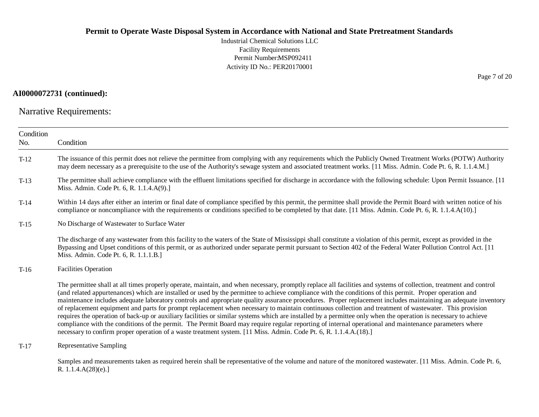Industrial Chemical Solutions LLC Facility Requirements Permit Number:MSP092411 Activity ID No.: PER20170001

#### **AI0000072731 (continued):**

Narrative Requirements:

| Condition<br>No. | Condition                                                                                                                                                                                                                                                                                                                                                                                                                                                                                                                                                                                                                                                                                                                                                                                                                                                                                                                                                                                                                                                                                                |
|------------------|----------------------------------------------------------------------------------------------------------------------------------------------------------------------------------------------------------------------------------------------------------------------------------------------------------------------------------------------------------------------------------------------------------------------------------------------------------------------------------------------------------------------------------------------------------------------------------------------------------------------------------------------------------------------------------------------------------------------------------------------------------------------------------------------------------------------------------------------------------------------------------------------------------------------------------------------------------------------------------------------------------------------------------------------------------------------------------------------------------|
| $T-12$           | The issuance of this permit does not relieve the permittee from complying with any requirements which the Publicly Owned Treatment Works (POTW) Authority<br>may deem necessary as a prerequisite to the use of the Authority's sewage system and associated treatment works. [11 Miss. Admin. Code Pt. 6, R. 1.1.4.M.]                                                                                                                                                                                                                                                                                                                                                                                                                                                                                                                                                                                                                                                                                                                                                                                  |
| $T-13$           | The permittee shall achieve compliance with the effluent limitations specified for discharge in accordance with the following schedule: Upon Permit Issuance. [11]<br>Miss. Admin. Code Pt. 6, R. 1.1.4.A(9).]                                                                                                                                                                                                                                                                                                                                                                                                                                                                                                                                                                                                                                                                                                                                                                                                                                                                                           |
| $T-14$           | Within 14 days after either an interim or final date of compliance specified by this permit, the permittee shall provide the Permit Board with written notice of his<br>compliance or noncompliance with the requirements or conditions specified to be completed by that date. [11 Miss. Admin. Code Pt. 6, R. 1.1.4.A(10).]                                                                                                                                                                                                                                                                                                                                                                                                                                                                                                                                                                                                                                                                                                                                                                            |
| $T-15$           | No Discharge of Wastewater to Surface Water                                                                                                                                                                                                                                                                                                                                                                                                                                                                                                                                                                                                                                                                                                                                                                                                                                                                                                                                                                                                                                                              |
|                  | The discharge of any wastewater from this facility to the waters of the State of Mississippi shall constitute a violation of this permit, except as provided in the<br>Bypassing and Upset conditions of this permit, or as authorized under separate permit pursuant to Section 402 of the Federal Water Pollution Control Act. [11]<br>Miss. Admin. Code Pt. 6, R. 1.1.1.B.]                                                                                                                                                                                                                                                                                                                                                                                                                                                                                                                                                                                                                                                                                                                           |
| $T-16$           | <b>Facilities Operation</b>                                                                                                                                                                                                                                                                                                                                                                                                                                                                                                                                                                                                                                                                                                                                                                                                                                                                                                                                                                                                                                                                              |
|                  | The permittee shall at all times properly operate, maintain, and when necessary, promptly replace all facilities and systems of collection, treatment and control<br>(and related appurtenances) which are installed or used by the permittee to achieve compliance with the conditions of this permit. Proper operation and<br>maintenance includes adequate laboratory controls and appropriate quality assurance procedures. Proper replacement includes maintaining an adequate inventory<br>of replacement equipment and parts for prompt replacement when necessary to maintain continuous collection and treatment of wastewater. This provision<br>requires the operation of back-up or auxiliary facilities or similar systems which are installed by a permittee only when the operation is necessary to achieve<br>compliance with the conditions of the permit. The Permit Board may require regular reporting of internal operational and maintenance parameters where<br>necessary to confirm proper operation of a waste treatment system. [11 Miss. Admin. Code Pt. 6, R. 1.1.4.A.(18).] |
| $T-17$           | Representative Sampling                                                                                                                                                                                                                                                                                                                                                                                                                                                                                                                                                                                                                                                                                                                                                                                                                                                                                                                                                                                                                                                                                  |
|                  | Samples and measurements taken as required herein shall be representative of the volume and nature of the monitored wastewater. [11 Miss. Admin. Code Pt. 6,<br>R. 1.1.4.A(28)(e).]                                                                                                                                                                                                                                                                                                                                                                                                                                                                                                                                                                                                                                                                                                                                                                                                                                                                                                                      |

Page 7 of 20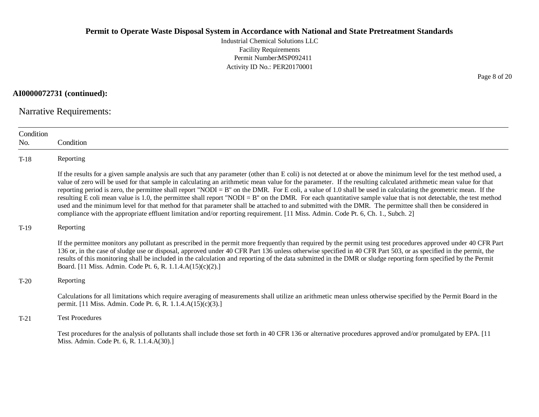Industrial Chemical Solutions LLC Facility Requirements Permit Number:MSP092411 Activity ID No.: PER20170001

**AI0000072731 (continued):**

Narrative Requirements:

| Condition<br>No. | Condition                                                                                                                                                                                                                                                                                                                                                                                                                                                                                                                                                                                                                                                                                                                                                                                                                                                                                                                                                                         |
|------------------|-----------------------------------------------------------------------------------------------------------------------------------------------------------------------------------------------------------------------------------------------------------------------------------------------------------------------------------------------------------------------------------------------------------------------------------------------------------------------------------------------------------------------------------------------------------------------------------------------------------------------------------------------------------------------------------------------------------------------------------------------------------------------------------------------------------------------------------------------------------------------------------------------------------------------------------------------------------------------------------|
| $T-18$           | Reporting                                                                                                                                                                                                                                                                                                                                                                                                                                                                                                                                                                                                                                                                                                                                                                                                                                                                                                                                                                         |
|                  | If the results for a given sample analysis are such that any parameter (other than E coli) is not detected at or above the minimum level for the test method used, a<br>value of zero will be used for that sample in calculating an arithmetic mean value for the parameter. If the resulting calculated arithmetic mean value for that<br>reporting period is zero, the permittee shall report "NODI = $B$ " on the DMR. For E coli, a value of 1.0 shall be used in calculating the geometric mean. If the<br>resulting E coli mean value is 1.0, the permittee shall report "NODI = B" on the DMR. For each quantitative sample value that is not detectable, the test method<br>used and the minimum level for that method for that parameter shall be attached to and submitted with the DMR. The permittee shall then be considered in<br>compliance with the appropriate effluent limitation and/or reporting requirement. [11 Miss. Admin. Code Pt. 6, Ch. 1., Subch. 2] |
| $T-19$           | Reporting                                                                                                                                                                                                                                                                                                                                                                                                                                                                                                                                                                                                                                                                                                                                                                                                                                                                                                                                                                         |
|                  | If the permittee monitors any pollutant as prescribed in the permit more frequently than required by the permit using test procedures approved under 40 CFR Part<br>136 or, in the case of sludge use or disposal, approved under 40 CFR Part 136 unless otherwise specified in 40 CFR Part 503, or as specified in the permit, the<br>results of this monitoring shall be included in the calculation and reporting of the data submitted in the DMR or sludge reporting form specified by the Permit<br>Board. [11 Miss. Admin. Code Pt. 6, R. 1.1.4.A(15)(c)(2).]                                                                                                                                                                                                                                                                                                                                                                                                              |
| $T-20$           | Reporting                                                                                                                                                                                                                                                                                                                                                                                                                                                                                                                                                                                                                                                                                                                                                                                                                                                                                                                                                                         |
|                  | Calculations for all limitations which require averaging of measurements shall utilize an arithmetic mean unless otherwise specified by the Permit Board in the<br>permit. [11 Miss. Admin. Code Pt. 6, R. 1.1.4.A(15)(c)(3).]                                                                                                                                                                                                                                                                                                                                                                                                                                                                                                                                                                                                                                                                                                                                                    |
| $T-21$           | <b>Test Procedures</b>                                                                                                                                                                                                                                                                                                                                                                                                                                                                                                                                                                                                                                                                                                                                                                                                                                                                                                                                                            |
|                  | Test procedures for the analysis of pollutants shall include those set forth in 40 CFR 136 or alternative procedures approved and/or promulgated by EPA. [11]<br>Miss. Admin. Code Pt. 6, R. 1.1.4.A(30).]                                                                                                                                                                                                                                                                                                                                                                                                                                                                                                                                                                                                                                                                                                                                                                        |

Page 8 of 20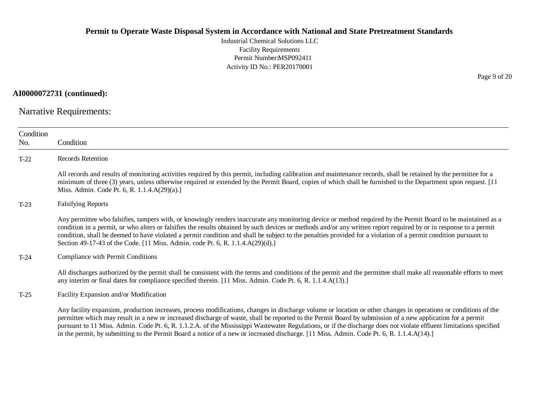Industrial Chemical Solutions LLC Facility Requirements Permit Number:MSP092411 Activity ID No.: PER20170001

**AI0000072731 (continued):**

Narrative Requirements:

| Condition<br>No. | Condition                                                                                                                                                                                                                                                                                                                                                                                                                                                                                                                                                                                                                                        |  |  |
|------------------|--------------------------------------------------------------------------------------------------------------------------------------------------------------------------------------------------------------------------------------------------------------------------------------------------------------------------------------------------------------------------------------------------------------------------------------------------------------------------------------------------------------------------------------------------------------------------------------------------------------------------------------------------|--|--|
| $T-22$           | Records Retention                                                                                                                                                                                                                                                                                                                                                                                                                                                                                                                                                                                                                                |  |  |
|                  | All records and results of monitoring activities required by this permit, including calibration and maintenance records, shall be retained by the permittee for a<br>minimum of three (3) years, unless otherwise required or extended by the Permit Board, copies of which shall be furnished to the Department upon request. [11]<br>Miss. Admin. Code Pt. 6, R. 1.1.4.A(29)(a).]                                                                                                                                                                                                                                                              |  |  |
| $T-23$           | <b>Falsifying Reports</b>                                                                                                                                                                                                                                                                                                                                                                                                                                                                                                                                                                                                                        |  |  |
|                  | Any permittee who falsifies, tampers with, or knowingly renders inaccurate any monitoring device or method required by the Permit Board to be maintained as a<br>condition in a permit, or who alters or falsifies the results obtained by such devices or methods and/or any written report required by or in response to a permit<br>condition, shall be deemed to have violated a permit condition and shall be subject to the penalties provided for a violation of a permit condition pursuant to<br>Section 49-17-43 of the Code. [11 Miss. Admin. code Pt. 6, R. 1.1.4.A(29)(d).]                                                         |  |  |
| $T-24$           | Compliance with Permit Conditions                                                                                                                                                                                                                                                                                                                                                                                                                                                                                                                                                                                                                |  |  |
|                  | All discharges authorized by the permit shall be consistent with the terms and conditions of the permit and the permittee shall make all reasonable efforts to meet<br>any interim or final dates for compliance specified therein. [11 Miss. Admin. Code Pt. 6, R. 1.1.4.A(13).]                                                                                                                                                                                                                                                                                                                                                                |  |  |
| $T-25$           | Facility Expansion and/or Modification                                                                                                                                                                                                                                                                                                                                                                                                                                                                                                                                                                                                           |  |  |
|                  | Any facility expansion, production increases, process modifications, changes in discharge volume or location or other changes in operations or conditions of the<br>permittee which may result in a new or increased discharge of waste, shall be reported to the Permit Board by submission of a new application for a permit<br>pursuant to 11 Miss. Admin. Code Pt. 6, R. 1.1.2.A. of the Mississippi Wastewater Regulations, or if the discharge does not violate effluent limitations specified<br>in the permit, by submitting to the Permit Board a notice of a new or increased discharge. [11 Miss. Admin. Code Pt. 6, R. 1.1.4.A(14).] |  |  |

Page 9 of 20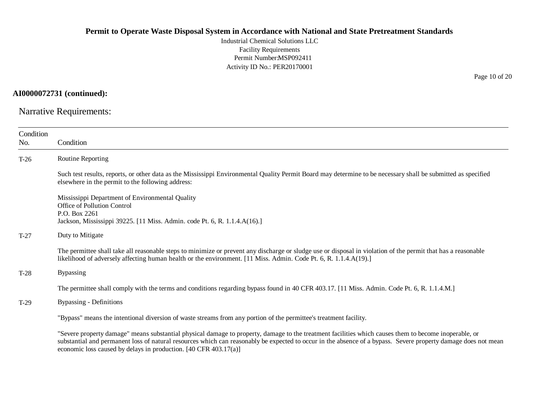Industrial Chemical Solutions LLC Facility Requirements Permit Number:MSP092411 Activity ID No.: PER20170001

**AI0000072731 (continued):**

Narrative Requirements:

| Condition<br>No. | Condition                                                                                                                                                                                                                                                                                                                                                                                   |
|------------------|---------------------------------------------------------------------------------------------------------------------------------------------------------------------------------------------------------------------------------------------------------------------------------------------------------------------------------------------------------------------------------------------|
| $T-26$           | <b>Routine Reporting</b>                                                                                                                                                                                                                                                                                                                                                                    |
|                  | Such test results, reports, or other data as the Mississippi Environmental Quality Permit Board may determine to be necessary shall be submitted as specified<br>elsewhere in the permit to the following address:                                                                                                                                                                          |
|                  | Mississippi Department of Environmental Quality<br>Office of Pollution Control<br>P.O. Box 2261<br>Jackson, Mississippi 39225. [11 Miss. Admin. code Pt. 6, R. 1.1.4.A(16).]                                                                                                                                                                                                                |
| $T-27$           | Duty to Mitigate                                                                                                                                                                                                                                                                                                                                                                            |
|                  | The permittee shall take all reasonable steps to minimize or prevent any discharge or sludge use or disposal in violation of the permit that has a reasonable<br>likelihood of adversely affecting human health or the environment. [11 Miss. Admin. Code Pt. 6, R. 1.1.4.A(19).]                                                                                                           |
| $T-28$           | <b>Bypassing</b>                                                                                                                                                                                                                                                                                                                                                                            |
|                  | The permittee shall comply with the terms and conditions regarding bypass found in 40 CFR 403.17. [11 Miss. Admin. Code Pt. 6, R. 1.1.4.M.]                                                                                                                                                                                                                                                 |
| $T-29$           | <b>Bypassing - Definitions</b>                                                                                                                                                                                                                                                                                                                                                              |
|                  | "Bypass" means the intentional diversion of waste streams from any portion of the permittee's treatment facility.                                                                                                                                                                                                                                                                           |
|                  | "Severe property damage" means substantial physical damage to property, damage to the treatment facilities which causes them to become inoperable, or<br>substantial and permanent loss of natural resources which can reasonably be expected to occur in the absence of a bypass. Severe property damage does not mean<br>economic loss caused by delays in production. [40 CFR 403.17(a)] |

Page 10 of 20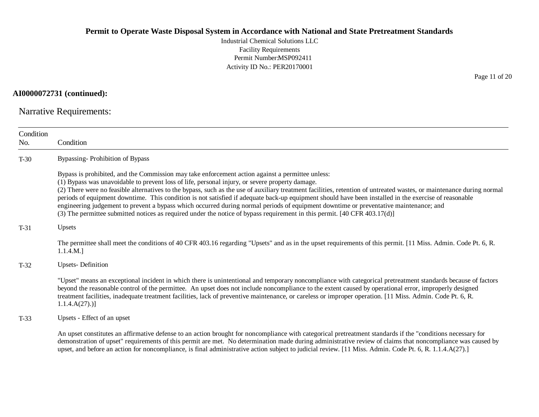Industrial Chemical Solutions LLC Facility Requirements Permit Number:MSP092411 Activity ID No.: PER20170001

**AI0000072731 (continued):**

Narrative Requirements:

| Condition<br>No. | Condition                                                                                                                                                                                                                                                                                                                                                                                                                                                                                                                                                                                                                                                                                                                                                                                                   |  |  |
|------------------|-------------------------------------------------------------------------------------------------------------------------------------------------------------------------------------------------------------------------------------------------------------------------------------------------------------------------------------------------------------------------------------------------------------------------------------------------------------------------------------------------------------------------------------------------------------------------------------------------------------------------------------------------------------------------------------------------------------------------------------------------------------------------------------------------------------|--|--|
| $T-30$           | Bypassing-Prohibition of Bypass                                                                                                                                                                                                                                                                                                                                                                                                                                                                                                                                                                                                                                                                                                                                                                             |  |  |
|                  | Bypass is prohibited, and the Commission may take enforcement action against a permittee unless:<br>(1) Bypass was unavoidable to prevent loss of life, personal injury, or severe property damage.<br>(2) There were no feasible alternatives to the bypass, such as the use of auxiliary treatment facilities, retention of untreated wastes, or maintenance during normal<br>periods of equipment downtime. This condition is not satisfied if adequate back-up equipment should have been installed in the exercise of reasonable<br>engineering judgement to prevent a bypass which occurred during normal periods of equipment downtime or preventative maintenance; and<br>(3) The permittee submitted notices as required under the notice of bypass requirement in this permit. [40 CFR 403.17(d)] |  |  |
| $T-31$           | Upsets                                                                                                                                                                                                                                                                                                                                                                                                                                                                                                                                                                                                                                                                                                                                                                                                      |  |  |
|                  | The permittee shall meet the conditions of 40 CFR 403.16 regarding "Upsets" and as in the upset requirements of this permit. [11 Miss. Admin. Code Pt. 6, R.<br>1.1.4.M.]                                                                                                                                                                                                                                                                                                                                                                                                                                                                                                                                                                                                                                   |  |  |
| $T-32$           | <b>Upsets-Definition</b>                                                                                                                                                                                                                                                                                                                                                                                                                                                                                                                                                                                                                                                                                                                                                                                    |  |  |
|                  | "Upset" means an exceptional incident in which there is unintentional and temporary noncompliance with categorical pretreatment standards because of factors<br>beyond the reasonable control of the permittee. An upset does not include noncompliance to the extent caused by operational error, improperly designed<br>treatment facilities, inadequate treatment facilities, lack of preventive maintenance, or careless or improper operation. [11 Miss. Admin. Code Pt. 6, R.<br>$1.1.4.A(27).$ ]                                                                                                                                                                                                                                                                                                     |  |  |
| $T-33$           | Upsets - Effect of an upset                                                                                                                                                                                                                                                                                                                                                                                                                                                                                                                                                                                                                                                                                                                                                                                 |  |  |
|                  | An upset constitutes an affirmative defense to an action brought for noncompliance with categorical pretreatment standards if the "conditions necessary for<br>demonstration of upset" requirements of this permit are met. No determination made during administrative review of claims that noncompliance was caused by<br>upset, and before an action for noncompliance, is final administrative action subject to judicial review. [11 Miss. Admin. Code Pt. 6, R. 1.1.4.A(27).]                                                                                                                                                                                                                                                                                                                        |  |  |

Page 11 of 20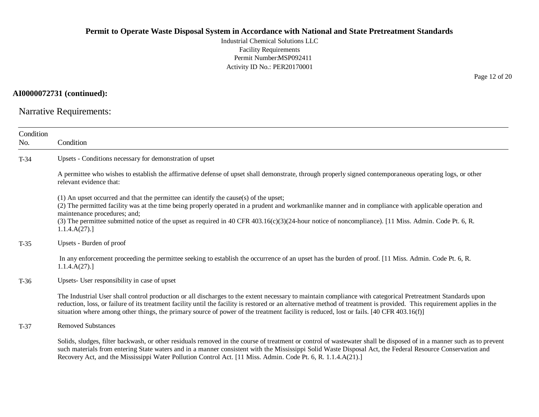Industrial Chemical Solutions LLC Facility Requirements Permit Number:MSP092411 Activity ID No.: PER20170001

#### **AI0000072731 (continued):**

Narrative Requirements:

| Condition<br>No. | Condition                                                                                                                                                                                                                                                                                                                                                                                                                                                                        |  |  |
|------------------|----------------------------------------------------------------------------------------------------------------------------------------------------------------------------------------------------------------------------------------------------------------------------------------------------------------------------------------------------------------------------------------------------------------------------------------------------------------------------------|--|--|
| $T-34$           | Upsets - Conditions necessary for demonstration of upset                                                                                                                                                                                                                                                                                                                                                                                                                         |  |  |
|                  | A permittee who wishes to establish the affirmative defense of upset shall demonstrate, through properly signed contemporaneous operating logs, or other<br>relevant evidence that:                                                                                                                                                                                                                                                                                              |  |  |
|                  | (1) An upset occurred and that the permittee can identify the cause(s) of the upset;<br>(2) The permitted facility was at the time being properly operated in a prudent and workmanlike manner and in compliance with applicable operation and<br>maintenance procedures; and;<br>(3) The permittee submitted notice of the upset as required in 40 CFR 403.16(c)(3)(24-hour notice of noncompliance). [11 Miss. Admin. Code Pt. 6, R.<br>1.1.4.A(27).                           |  |  |
| $T-35$           | Upsets - Burden of proof                                                                                                                                                                                                                                                                                                                                                                                                                                                         |  |  |
|                  | In any enforcement proceeding the permittee seeking to establish the occurrence of an upset has the burden of proof. [11 Miss. Admin. Code Pt. 6, R.<br>1.1.4.A(27).                                                                                                                                                                                                                                                                                                             |  |  |
| $T-36$           | Upsets- User responsibility in case of upset                                                                                                                                                                                                                                                                                                                                                                                                                                     |  |  |
|                  | The Industrial User shall control production or all discharges to the extent necessary to maintain compliance with categorical Pretreatment Standards upon<br>reduction, loss, or failure of its treatment facility until the facility is restored or an alternative method of treatment is provided. This requirement applies in the<br>situation where among other things, the primary source of power of the treatment facility is reduced, lost or fails. [40 CFR 403.16(f)] |  |  |
| $T-37$           | <b>Removed Substances</b>                                                                                                                                                                                                                                                                                                                                                                                                                                                        |  |  |
|                  | Solids, sludges, filter backwash, or other residuals removed in the course of treatment or control of wastewater shall be disposed of in a manner such as to prevent<br>such materials from entering State waters and in a manner consistent with the Mississippi Solid Waste Disposal Act, the Federal Resource Conservation and<br>Recovery Act, and the Mississippi Water Pollution Control Act. [11 Miss. Admin. Code Pt. 6, R. 1.1.4.A(21).]                                |  |  |

Page 12 of 20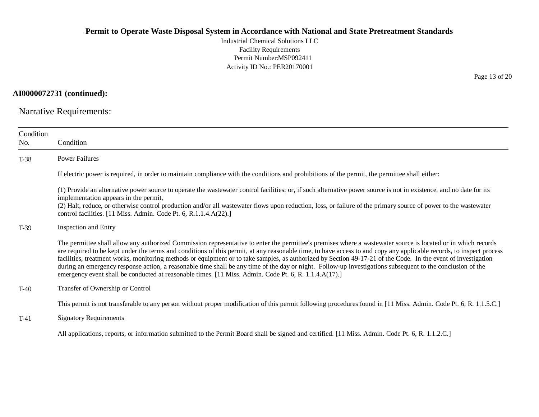Industrial Chemical Solutions LLC Facility Requirements Permit Number:MSP092411 Activity ID No.: PER20170001

**AI0000072731 (continued):**

Narrative Requirements:

| Condition<br>No. | Condition                                                                                                                                                                                                                                                                                                                                                                                                                                                                                                                                                                                                                                                                                                                                                                     |  |  |  |
|------------------|-------------------------------------------------------------------------------------------------------------------------------------------------------------------------------------------------------------------------------------------------------------------------------------------------------------------------------------------------------------------------------------------------------------------------------------------------------------------------------------------------------------------------------------------------------------------------------------------------------------------------------------------------------------------------------------------------------------------------------------------------------------------------------|--|--|--|
| T-38             | <b>Power Failures</b>                                                                                                                                                                                                                                                                                                                                                                                                                                                                                                                                                                                                                                                                                                                                                         |  |  |  |
|                  | If electric power is required, in order to maintain compliance with the conditions and prohibitions of the permit, the permittee shall either:                                                                                                                                                                                                                                                                                                                                                                                                                                                                                                                                                                                                                                |  |  |  |
|                  | (1) Provide an alternative power source to operate the wastewater control facilities; or, if such alternative power source is not in existence, and no date for its<br>implementation appears in the permit,<br>(2) Halt, reduce, or otherwise control production and/or all wastewater flows upon reduction, loss, or failure of the primary source of power to the wastewater<br>control facilities. [11 Miss. Admin. Code Pt. 6, R.1.1.4.A(22).]                                                                                                                                                                                                                                                                                                                           |  |  |  |
| $T-39$           | Inspection and Entry                                                                                                                                                                                                                                                                                                                                                                                                                                                                                                                                                                                                                                                                                                                                                          |  |  |  |
|                  | The permittee shall allow any authorized Commission representative to enter the permittee's premises where a wastewater source is located or in which records<br>are required to be kept under the terms and conditions of this permit, at any reasonable time, to have access to and copy any applicable records, to inspect process<br>facilities, treatment works, monitoring methods or equipment or to take samples, as authorized by Section 49-17-21 of the Code. In the event of investigation<br>during an emergency response action, a reasonable time shall be any time of the day or night. Follow-up investigations subsequent to the conclusion of the<br>emergency event shall be conducted at reasonable times. [11 Miss. Admin. Code Pt. 6, R. 1.1.4.A(17).] |  |  |  |
| $T-40$           | Transfer of Ownership or Control                                                                                                                                                                                                                                                                                                                                                                                                                                                                                                                                                                                                                                                                                                                                              |  |  |  |
|                  | This permit is not transferable to any person without proper modification of this permit following procedures found in [11 Miss. Admin. Code Pt. 6, R. 1.1.5.C.]                                                                                                                                                                                                                                                                                                                                                                                                                                                                                                                                                                                                              |  |  |  |
| $T-41$           | <b>Signatory Requirements</b>                                                                                                                                                                                                                                                                                                                                                                                                                                                                                                                                                                                                                                                                                                                                                 |  |  |  |
|                  | All applications, reports, or information submitted to the Permit Board shall be signed and certified. [11 Miss. Admin. Code Pt. 6, R. 1.1.2.C.]                                                                                                                                                                                                                                                                                                                                                                                                                                                                                                                                                                                                                              |  |  |  |

Page 13 of 20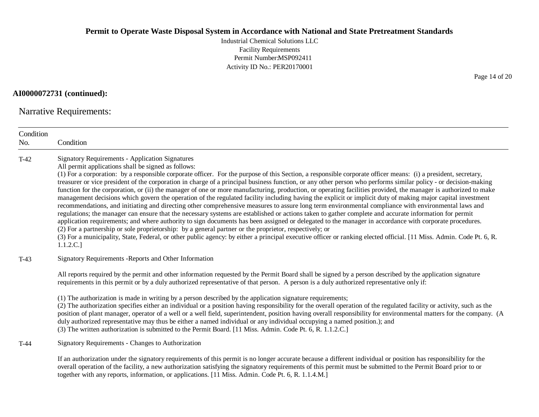Industrial Chemical Solutions LLC Facility Requirements Permit Number:MSP092411 Activity ID No.: PER20170001

**AI0000072731 (continued):**

Narrative Requirements:

| Condition<br>No. | Condition                                                                                                                                                                                                                                                                                                                                                                                                                                                                                                                                                                                                                                                                                                                                                                                                                                                                                                                                                                                                                                                                                                                                                                                                                                                                                                                                                                                                                                                                                                                                                      |  |
|------------------|----------------------------------------------------------------------------------------------------------------------------------------------------------------------------------------------------------------------------------------------------------------------------------------------------------------------------------------------------------------------------------------------------------------------------------------------------------------------------------------------------------------------------------------------------------------------------------------------------------------------------------------------------------------------------------------------------------------------------------------------------------------------------------------------------------------------------------------------------------------------------------------------------------------------------------------------------------------------------------------------------------------------------------------------------------------------------------------------------------------------------------------------------------------------------------------------------------------------------------------------------------------------------------------------------------------------------------------------------------------------------------------------------------------------------------------------------------------------------------------------------------------------------------------------------------------|--|
| $T-42$           | <b>Signatory Requirements - Application Signatures</b><br>All permit applications shall be signed as follows:<br>(1) For a corporation: by a responsible corporate officer. For the purpose of this Section, a responsible corporate officer means: (i) a president, secretary,<br>treasurer or vice president of the corporation in charge of a principal business function, or any other person who performs similar policy - or decision-making<br>function for the corporation, or (ii) the manager of one or more manufacturing, production, or operating facilities provided, the manager is authorized to make<br>management decisions which govern the operation of the regulated facility including having the explicit or implicit duty of making major capital investment<br>recommendations, and initiating and directing other comprehensive measures to assure long term environmental compliance with environmental laws and<br>regulations; the manager can ensure that the necessary systems are established or actions taken to gather complete and accurate information for permit<br>application requirements; and where authority to sign documents has been assigned or delegated to the manager in accordance with corporate procedures.<br>(2) For a partnership or sole proprietorship: by a general partner or the proprietor, respectively; or<br>(3) For a municipality, State, Federal, or other public agency: by either a principal executive officer or ranking elected official. [11 Miss. Admin. Code Pt. 6, R.<br>1.1.2.C.] |  |
| $T-43$           | Signatory Requirements - Reports and Other Information                                                                                                                                                                                                                                                                                                                                                                                                                                                                                                                                                                                                                                                                                                                                                                                                                                                                                                                                                                                                                                                                                                                                                                                                                                                                                                                                                                                                                                                                                                         |  |
|                  | All reports required by the permit and other information requested by the Permit Board shall be signed by a person described by the application signature<br>requirements in this permit or by a duly authorized representative of that person. A person is a duly authorized representative only if:                                                                                                                                                                                                                                                                                                                                                                                                                                                                                                                                                                                                                                                                                                                                                                                                                                                                                                                                                                                                                                                                                                                                                                                                                                                          |  |
|                  | (1) The authorization is made in writing by a person described by the application signature requirements;<br>(2) The authorization specifies either an individual or a position having responsibility for the overall operation of the regulated facility or activity, such as the<br>position of plant manager, operator of a well or a well field, superintendent, position having overall responsibility for environmental matters for the company. (A<br>duly authorized representative may thus be either a named individual or any individual occupying a named position.); and<br>(3) The written authorization is submitted to the Permit Board. [11 Miss. Admin. Code Pt. 6, R. 1.1.2.C.]                                                                                                                                                                                                                                                                                                                                                                                                                                                                                                                                                                                                                                                                                                                                                                                                                                                             |  |
| $T-44$           | Signatory Requirements - Changes to Authorization                                                                                                                                                                                                                                                                                                                                                                                                                                                                                                                                                                                                                                                                                                                                                                                                                                                                                                                                                                                                                                                                                                                                                                                                                                                                                                                                                                                                                                                                                                              |  |
|                  | If an authorization under the signatory requirements of this permit is no longer accurate because a different individual or position has responsibility for the<br>overall operation of the facility, a new authorization satisfying the signatory requirements of this permit must be submitted to the Permit Board prior to or                                                                                                                                                                                                                                                                                                                                                                                                                                                                                                                                                                                                                                                                                                                                                                                                                                                                                                                                                                                                                                                                                                                                                                                                                               |  |

together with any reports, information, or applications. [11 Miss. Admin. Code Pt. 6, R. 1.1.4.M.]

Page 14 of 20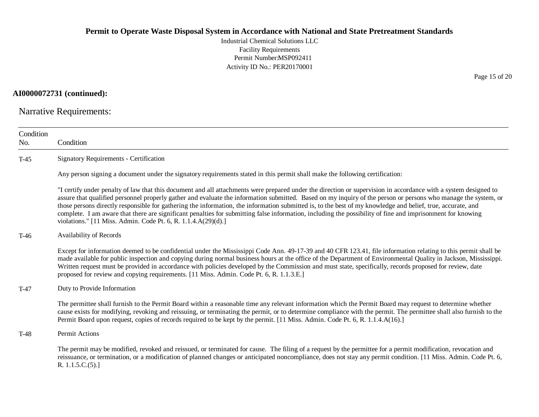Industrial Chemical Solutions LLC Facility Requirements Permit Number:MSP092411 Activity ID No.: PER20170001

**AI0000072731 (continued):**

Narrative Requirements:

| Condition<br>No. | Condition                                                                                                                                                                                                                                                                                                                                                                                                                                                                                                                                                                                                                                                                                                                       |  |  |  |
|------------------|---------------------------------------------------------------------------------------------------------------------------------------------------------------------------------------------------------------------------------------------------------------------------------------------------------------------------------------------------------------------------------------------------------------------------------------------------------------------------------------------------------------------------------------------------------------------------------------------------------------------------------------------------------------------------------------------------------------------------------|--|--|--|
| $T-45$           | <b>Signatory Requirements - Certification</b>                                                                                                                                                                                                                                                                                                                                                                                                                                                                                                                                                                                                                                                                                   |  |  |  |
|                  | Any person signing a document under the signatory requirements stated in this permit shall make the following certification:                                                                                                                                                                                                                                                                                                                                                                                                                                                                                                                                                                                                    |  |  |  |
|                  | "I certify under penalty of law that this document and all attachments were prepared under the direction or supervision in accordance with a system designed to<br>assure that qualified personnel properly gather and evaluate the information submitted. Based on my inquiry of the person or persons who manage the system, or<br>those persons directly responsible for gathering the information, the information submitted is, to the best of my knowledge and belief, true, accurate, and<br>complete. I am aware that there are significant penalties for submitting false information, including the possibility of fine and imprisonment for knowing<br>violations." [11 Miss. Admin. Code Pt. 6, R. 1.1.4.A(29)(d).] |  |  |  |
| T-46             | Availability of Records                                                                                                                                                                                                                                                                                                                                                                                                                                                                                                                                                                                                                                                                                                         |  |  |  |
|                  | Except for information deemed to be confidential under the Mississippi Code Ann. 49-17-39 and 40 CFR 123.41, file information relating to this permit shall be<br>made available for public inspection and copying during normal business hours at the office of the Department of Environmental Quality in Jackson, Mississippi.<br>Written request must be provided in accordance with policies developed by the Commission and must state, specifically, records proposed for review, date<br>proposed for review and copying requirements. [11 Miss. Admin. Code Pt. 6, R. 1.1.3.E.]                                                                                                                                        |  |  |  |
| $T-47$           | Duty to Provide Information                                                                                                                                                                                                                                                                                                                                                                                                                                                                                                                                                                                                                                                                                                     |  |  |  |
|                  | The permittee shall furnish to the Permit Board within a reasonable time any relevant information which the Permit Board may request to determine whether<br>cause exists for modifying, revoking and reissuing, or terminating the permit, or to determine compliance with the permit. The permittee shall also furnish to the<br>Permit Board upon request, copies of records required to be kept by the permit. [11 Miss. Admin. Code Pt. 6, R. 1.1.4.A(16).]                                                                                                                                                                                                                                                                |  |  |  |
| $T-48$           | Permit Actions                                                                                                                                                                                                                                                                                                                                                                                                                                                                                                                                                                                                                                                                                                                  |  |  |  |
|                  | The permit may be modified, revoked and reissued, or terminated for cause. The filing of a request by the permittee for a permit modification, revocation and<br>reissuance, or termination, or a modification of planned changes or anticipated noncompliance, does not stay any permit condition. [11 Miss. Admin. Code Pt. 6,<br>R. 1.1.5.C.(5).                                                                                                                                                                                                                                                                                                                                                                             |  |  |  |

Page 15 of 20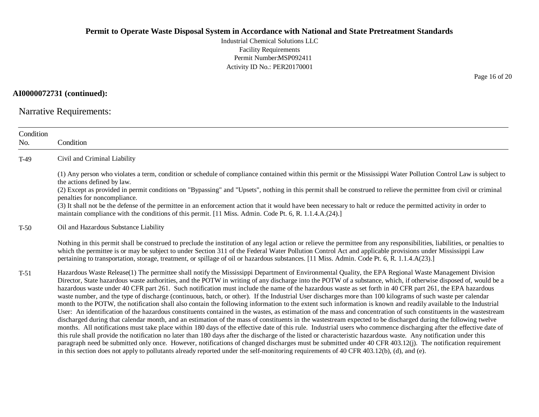Industrial Chemical Solutions LLC Facility Requirements Permit Number:MSP092411 Activity ID No.: PER20170001

**AI0000072731 (continued):**

Narrative Requirements:

| Condition<br>No. | Condition                                                                                                                                                                                                                                                                                                                                                                                                                                                                                                                                                                                                                                                                                                                                                                                                                                                                                                                                                                                                                                                                                                                                                                                                                                                                                                                                                                                                                                                                                                                                                                                                                                                                                                                                                                                                          |  |  |  |
|------------------|--------------------------------------------------------------------------------------------------------------------------------------------------------------------------------------------------------------------------------------------------------------------------------------------------------------------------------------------------------------------------------------------------------------------------------------------------------------------------------------------------------------------------------------------------------------------------------------------------------------------------------------------------------------------------------------------------------------------------------------------------------------------------------------------------------------------------------------------------------------------------------------------------------------------------------------------------------------------------------------------------------------------------------------------------------------------------------------------------------------------------------------------------------------------------------------------------------------------------------------------------------------------------------------------------------------------------------------------------------------------------------------------------------------------------------------------------------------------------------------------------------------------------------------------------------------------------------------------------------------------------------------------------------------------------------------------------------------------------------------------------------------------------------------------------------------------|--|--|--|
| $T-49$           | Civil and Criminal Liability                                                                                                                                                                                                                                                                                                                                                                                                                                                                                                                                                                                                                                                                                                                                                                                                                                                                                                                                                                                                                                                                                                                                                                                                                                                                                                                                                                                                                                                                                                                                                                                                                                                                                                                                                                                       |  |  |  |
|                  | (1) Any person who violates a term, condition or schedule of compliance contained within this permit or the Mississippi Water Pollution Control Law is subject to<br>the actions defined by law.<br>(2) Except as provided in permit conditions on "Bypassing" and "Upsets", nothing in this permit shall be construed to relieve the permittee from civil or criminal<br>penalties for noncompliance.<br>(3) It shall not be the defense of the permittee in an enforcement action that it would have been necessary to halt or reduce the permitted activity in order to<br>maintain compliance with the conditions of this permit. [11 Miss. Admin. Code Pt. 6, R. 1.1.4.A.(24).]                                                                                                                                                                                                                                                                                                                                                                                                                                                                                                                                                                                                                                                                                                                                                                                                                                                                                                                                                                                                                                                                                                                               |  |  |  |
| $T-50$           | Oil and Hazardous Substance Liability                                                                                                                                                                                                                                                                                                                                                                                                                                                                                                                                                                                                                                                                                                                                                                                                                                                                                                                                                                                                                                                                                                                                                                                                                                                                                                                                                                                                                                                                                                                                                                                                                                                                                                                                                                              |  |  |  |
|                  | Nothing in this permit shall be construed to preclude the institution of any legal action or relieve the permittee from any responsibilities, liabilities, or penalties to<br>which the permittee is or may be subject to under Section 311 of the Federal Water Pollution Control Act and applicable provisions under Mississippi Law<br>pertaining to transportation, storage, treatment, or spillage of oil or hazardous substances. [11 Miss. Admin. Code Pt. 6, R. 1.1.4.A(23).]                                                                                                                                                                                                                                                                                                                                                                                                                                                                                                                                                                                                                                                                                                                                                                                                                                                                                                                                                                                                                                                                                                                                                                                                                                                                                                                              |  |  |  |
| $T-51$           | Hazardous Waste Release(1) The permittee shall notify the Mississippi Department of Environmental Quality, the EPA Regional Waste Management Division<br>Director, State hazardous waste authorities, and the POTW in writing of any discharge into the POTW of a substance, which, if otherwise disposed of, would be a<br>hazardous waste under 40 CFR part 261. Such notification must include the name of the hazardous waste as set forth in 40 CFR part 261, the EPA hazardous<br>waste number, and the type of discharge (continuous, batch, or other). If the Industrial User discharges more than 100 kilograms of such waste per calendar<br>month to the POTW, the notification shall also contain the following information to the extent such information is known and readily available to the Industrial<br>User: An identification of the hazardous constituents contained in the wastes, as estimation of the mass and concentration of such constituents in the wastestream<br>discharged during that calendar month, and an estimation of the mass of constituents in the wastestream expected to be discharged during the following twelve<br>months. All notifications must take place within 180 days of the effective date of this rule. Industrial users who commence discharging after the effective date of<br>this rule shall provide the notification no later than 180 days after the discharge of the listed or characteristic hazardous waste. Any notification under this<br>paragraph need be submitted only once. However, notifications of changed discharges must be submitted under 40 CFR 403.12(j). The notification requirement<br>in this section does not apply to pollutants already reported under the self-monitoring requirements of 40 CFR 403.12(b), (d), and (e). |  |  |  |

Page 16 of 20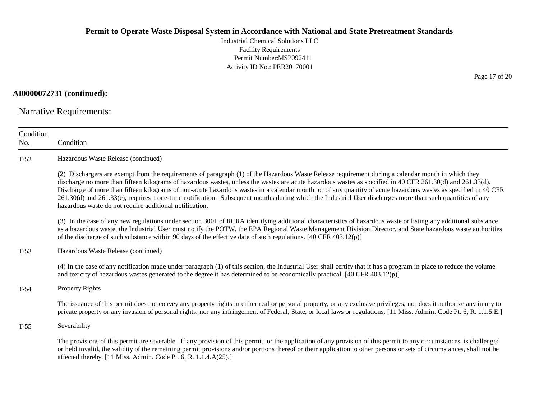Industrial Chemical Solutions LLC Facility Requirements Permit Number:MSP092411 Activity ID No.: PER20170001

**AI0000072731 (continued):**

Narrative Requirements:

| Condition<br>No. | Condition                                                                                                                                                                                                                                                                                                                                                                                                                                                                                                                                                                                                                                                                                                   |
|------------------|-------------------------------------------------------------------------------------------------------------------------------------------------------------------------------------------------------------------------------------------------------------------------------------------------------------------------------------------------------------------------------------------------------------------------------------------------------------------------------------------------------------------------------------------------------------------------------------------------------------------------------------------------------------------------------------------------------------|
| $T-52$           | Hazardous Waste Release (continued)                                                                                                                                                                                                                                                                                                                                                                                                                                                                                                                                                                                                                                                                         |
|                  | (2) Dischargers are exempt from the requirements of paragraph (1) of the Hazardous Waste Release requirement during a calendar month in which they<br>discharge no more than fifteen kilograms of hazardous wastes, unless the wastes are acute hazardous wastes as specified in 40 CFR 261.30(d) and 261.33(d).<br>Discharge of more than fifteen kilograms of non-acute hazardous wastes in a calendar month, or of any quantity of acute hazardous wastes as specified in 40 CFR<br>261.30(d) and 261.33(e), requires a one-time notification. Subsequent months during which the Industrial User discharges more than such quantities of any<br>hazardous waste do not require additional notification. |
|                  | (3) In the case of any new regulations under section 3001 of RCRA identifying additional characteristics of hazardous waste or listing any additional substance<br>as a hazardous waste, the Industrial User must notify the POTW, the EPA Regional Waste Management Division Director, and State hazardous waste authorities<br>of the discharge of such substance within 90 days of the effective date of such regulations. $[40 \text{ CFR } 403.12(p)]$                                                                                                                                                                                                                                                 |
| $T-53$           | Hazardous Waste Release (continued)                                                                                                                                                                                                                                                                                                                                                                                                                                                                                                                                                                                                                                                                         |
|                  | (4) In the case of any notification made under paragraph (1) of this section, the Industrial User shall certify that it has a program in place to reduce the volume<br>and toxicity of hazardous wastes generated to the degree it has determined to be economically practical. [40 CFR 403.12(p)]                                                                                                                                                                                                                                                                                                                                                                                                          |
| $T-54$           | Property Rights                                                                                                                                                                                                                                                                                                                                                                                                                                                                                                                                                                                                                                                                                             |
|                  | The issuance of this permit does not convey any property rights in either real or personal property, or any exclusive privileges, nor does it authorize any injury to<br>private property or any invasion of personal rights, nor any infringement of Federal, State, or local laws or regulations. [11 Miss. Admin. Code Pt. 6, R. 1.1.5.E.]                                                                                                                                                                                                                                                                                                                                                               |
| $T-55$           | Severability                                                                                                                                                                                                                                                                                                                                                                                                                                                                                                                                                                                                                                                                                                |
|                  | The provisions of this permit are severable. If any provision of this permit, or the application of any provision of this permit to any circumstances, is challenged<br>or held invalid, the validity of the remaining permit provisions and/or portions thereof or their application to other persons or sets of circumstances, shall not be<br>affected thereby. [11 Miss. Admin. Code Pt. 6, R. 1.1.4.A(25).]                                                                                                                                                                                                                                                                                            |

Page 17 of 20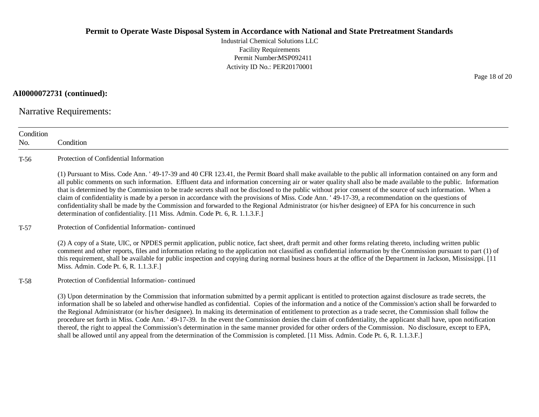Industrial Chemical Solutions LLC Facility Requirements Permit Number:MSP092411 Activity ID No.: PER20170001

**AI0000072731 (continued):**

Narrative Requirements:

| Condition<br>No. | Condition                                                                                                                                                                                                                                                                                                                                                                                                                                                                                                                                                                                                                                                                                                                                                                                                                                                                                                                                                            |  |  |  |
|------------------|----------------------------------------------------------------------------------------------------------------------------------------------------------------------------------------------------------------------------------------------------------------------------------------------------------------------------------------------------------------------------------------------------------------------------------------------------------------------------------------------------------------------------------------------------------------------------------------------------------------------------------------------------------------------------------------------------------------------------------------------------------------------------------------------------------------------------------------------------------------------------------------------------------------------------------------------------------------------|--|--|--|
| $T-56$           | Protection of Confidential Information                                                                                                                                                                                                                                                                                                                                                                                                                                                                                                                                                                                                                                                                                                                                                                                                                                                                                                                               |  |  |  |
|                  | (1) Pursuant to Miss. Code Ann. '49-17-39 and 40 CFR 123.41, the Permit Board shall make available to the public all information contained on any form and<br>all public comments on such information. Effluent data and information concerning air or water quality shall also be made available to the public. Information<br>that is determined by the Commission to be trade secrets shall not be disclosed to the public without prior consent of the source of such information. When a<br>claim of confidentiality is made by a person in accordance with the provisions of Miss. Code Ann. '49-17-39, a recommendation on the questions of<br>confidentiality shall be made by the Commission and forwarded to the Regional Administrator (or his/her designee) of EPA for his concurrence in such<br>determination of confidentiality. [11 Miss. Admin. Code Pt. 6, R. 1.1.3.F.]                                                                            |  |  |  |
| $T-57$           | Protection of Confidential Information-continued                                                                                                                                                                                                                                                                                                                                                                                                                                                                                                                                                                                                                                                                                                                                                                                                                                                                                                                     |  |  |  |
|                  | (2) A copy of a State, UIC, or NPDES permit application, public notice, fact sheet, draft permit and other forms relating thereto, including written public<br>comment and other reports, files and information relating to the application not classified as confidential information by the Commission pursuant to part (1) of<br>this requirement, shall be available for public inspection and copying during normal business hours at the office of the Department in Jackson, Mississippi. [11]<br>Miss. Admin. Code Pt. 6, R. 1.1.3.F.]                                                                                                                                                                                                                                                                                                                                                                                                                       |  |  |  |
| $T-58$           | Protection of Confidential Information-continued                                                                                                                                                                                                                                                                                                                                                                                                                                                                                                                                                                                                                                                                                                                                                                                                                                                                                                                     |  |  |  |
|                  | (3) Upon determination by the Commission that information submitted by a permit applicant is entitled to protection against disclosure as trade secrets, the<br>information shall be so labeled and otherwise handled as confidential. Copies of the information and a notice of the Commission's action shall be forwarded to<br>the Regional Administrator (or his/her designee). In making its determination of entitlement to protection as a trade secret, the Commission shall follow the<br>procedure set forth in Miss. Code Ann. '49-17-39. In the event the Commission denies the claim of confidentiality, the applicant shall have, upon notification<br>thereof, the right to appeal the Commission's determination in the same manner provided for other orders of the Commission. No disclosure, except to EPA,<br>shall be allowed until any appeal from the determination of the Commission is completed. [11 Miss. Admin. Code Pt. 6, R. 1.1.3.F.] |  |  |  |

Page 18 of 20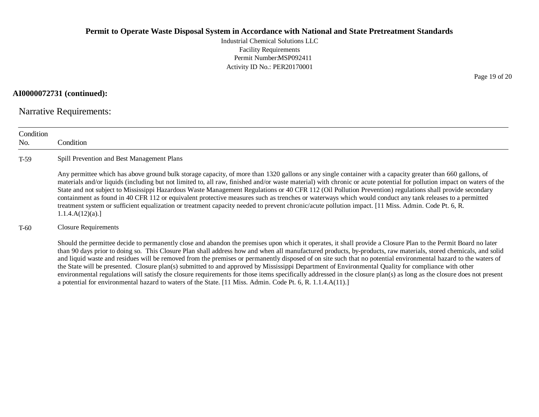Industrial Chemical Solutions LLC Facility Requirements Permit Number:MSP092411 Activity ID No.: PER20170001

**AI0000072731 (continued):**

Narrative Requirements:

| Condition<br>No. | Condition                                                                                                                                                                                                                                                                                                                                                                                                                                                                                                                                                                                                                                                                                                                                                                                                                                                                                                                                          |  |  |
|------------------|----------------------------------------------------------------------------------------------------------------------------------------------------------------------------------------------------------------------------------------------------------------------------------------------------------------------------------------------------------------------------------------------------------------------------------------------------------------------------------------------------------------------------------------------------------------------------------------------------------------------------------------------------------------------------------------------------------------------------------------------------------------------------------------------------------------------------------------------------------------------------------------------------------------------------------------------------|--|--|
| $T-59$           | Spill Prevention and Best Management Plans                                                                                                                                                                                                                                                                                                                                                                                                                                                                                                                                                                                                                                                                                                                                                                                                                                                                                                         |  |  |
|                  | Any permittee which has above ground bulk storage capacity, of more than 1320 gallons or any single container with a capacity greater than 660 gallons, of<br>materials and/or liquids (including but not limited to, all raw, finished and/or waste material) with chronic or acute potential for pollution impact on waters of the<br>State and not subject to Mississippi Hazardous Waste Management Regulations or 40 CFR 112 (Oil Pollution Prevention) regulations shall provide secondary<br>containment as found in 40 CFR 112 or equivalent protective measures such as trenches or waterways which would conduct any tank releases to a permitted<br>treatment system or sufficient equalization or treatment capacity needed to prevent chronic/acute pollution impact. [11 Miss. Admin. Code Pt. 6, R.<br>1.1.4.A(12)(a).                                                                                                              |  |  |
| $T-60$           | <b>Closure Requirements</b>                                                                                                                                                                                                                                                                                                                                                                                                                                                                                                                                                                                                                                                                                                                                                                                                                                                                                                                        |  |  |
|                  | Should the permittee decide to permanently close and abandon the premises upon which it operates, it shall provide a Closure Plan to the Permit Board no later<br>than 90 days prior to doing so. This Closure Plan shall address how and when all manufactured products, by-products, raw materials, stored chemicals, and solid<br>and liquid waste and residues will be removed from the premises or permanently disposed of on site such that no potential environmental hazard to the waters of<br>the State will be presented. Closure plan(s) submitted to and approved by Mississippi Department of Environmental Quality for compliance with other<br>environmental regulations will satisfy the closure requirements for those items specifically addressed in the closure plan(s) as long as the closure does not present<br>a potential for environmental hazard to waters of the State. [11 Miss. Admin. Code Pt. 6, R. 1.1.4.A(11).] |  |  |

Page 19 of 20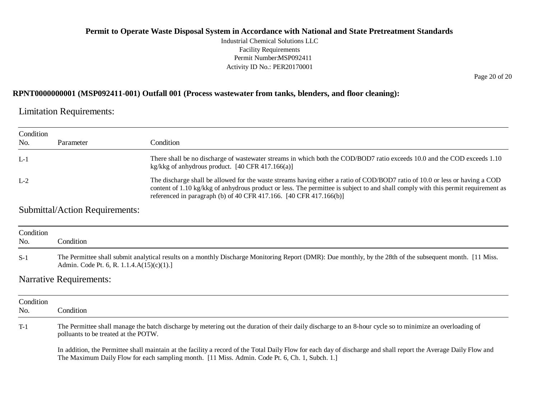Industrial Chemical Solutions LLC Facility Requirements Permit Number:MSP092411 Activity ID No.: PER20170001

Page 20 of 20

#### **RPNT0000000001 (MSP092411-001) Outfall 001 (Process wastewater from tanks, blenders, and floor cleaning):**

Limitation Requirements:

| Condition<br>No. | Parameter                             | Condition                                                                                                                                                                                                                                                                                                                               |
|------------------|---------------------------------------|-----------------------------------------------------------------------------------------------------------------------------------------------------------------------------------------------------------------------------------------------------------------------------------------------------------------------------------------|
|                  |                                       |                                                                                                                                                                                                                                                                                                                                         |
| $L-1$            |                                       | There shall be no discharge of wastewater streams in which both the COD/BOD7 ratio exceeds 10.0 and the COD exceeds 1.10<br>kg/kkg of anhydrous product. $[40 \text{ CFR } 417.166(a)]$                                                                                                                                                 |
| $L-2$            |                                       | The discharge shall be allowed for the waste streams having either a ratio of COD/BOD7 ratio of 10.0 or less or having a COD<br>content of 1.10 kg/kkg of anhydrous product or less. The permittee is subject to and shall comply with this permit requirement as<br>referenced in paragraph (b) of 40 CFR 417.166. [40 CFR 417.166(b)] |
|                  | <b>Submittal/Action Requirements:</b> |                                                                                                                                                                                                                                                                                                                                         |

| Condition<br>No.          | Condition                                                                                                                                                                                                 |
|---------------------------|-----------------------------------------------------------------------------------------------------------------------------------------------------------------------------------------------------------|
| $S-1$                     | The Permittee shall submit analytical results on a monthly Discharge Monitoring Report (DMR): Due monthly, by the 28th of the subsequent month. [11 Miss.<br>Admin. Code Pt. 6, R. 1.1.4. $A(15)(c)(1)$ . |
| $\mathbf{M}$ $\mathbf{L}$ |                                                                                                                                                                                                           |

#### Narrative Requirements:

| Condition<br>No. | Condition                                                                                                                                                                                                                                                          |
|------------------|--------------------------------------------------------------------------------------------------------------------------------------------------------------------------------------------------------------------------------------------------------------------|
| $T-1$            | The Permittee shall manage the batch discharge by metering out the duration of their daily discharge to an 8-hour cycle so to minimize an overloading of<br>polluants to be treated at the POTW.                                                                   |
|                  | In addition, the Permittee shall maintain at the facility a record of the Total Daily Flow for each day of discharge and shall report the Average Daily Flow and<br>The Maximum Daily Flow for each sampling month. [11 Miss. Admin. Code Pt. 6, Ch. 1, Subch. 1.] |